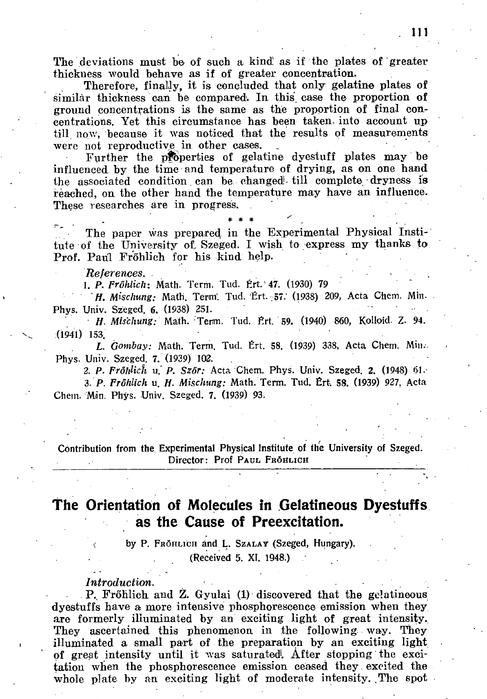The' deviations must be of such a kind! as if the plates of greater thickness would behave as if of greater concentration.

Therefore, finally, it is concluded that only gelatine plates of similar thickness can be compared. In this case the proportion of ground concentrations is the same as the proportion of final concentrations. Yet this circumstance has been taken, into account up till now, because it was noticed that the results of measurements were not reproductive in other cases.

Further the properties of gelatine dyestuff plates may be influenced by the time and temperature of drying, as on one hand the associated condition can be changed till complete dryness is reached, on the other hand the temperature may have an influence. These researches are in progress.

The paper was prepared in the Experimental Physical Institute of the University of, Szeged. I wish to express my thanks to Prof. Paul Fröhlich for his kind help.

\* \* \* ^

## *References. •*

*1. P. Fröhlich-.* Math. Term. Tud. Ért. 47. (1930) 79

*H. Mischung: Math. Term. Tud. Ert. 57.* (1938) 209, Acta Chem. Min. Phys. Univ. Szeged. 6. (1938) 251.

*• H. Mischung:* Math. Term. Tud. Ért. **59.** (1940) 860, Kolloid. Z. **94.**  (1941) 153.

*L. Gombay:* Math. Term. Tud. Ért. 58. (1939) 338, Acta Chem. Min.. Phys. Univ. Szeged. 7. (1939) 102. -

2. *P. Fröhlich* u." *P. Sz6r:* Acta Chem. Phys. Univ. Szeged. **2.** (1948) 61. 3. *P. Fröhlich* u. *H. Mischung:* Math. Term. Tud. Ért, 58. (1939) 927, Acta Chem. Mán. Phys. Univ. Szeged. 7. (1939) 93.

**Contribution from the Experimental Physical Institute of the University of Szeged. Director: Prof PAUL FRÔHLICH** 

# **The Orientation of Molecules in Gelatineous Dyestuffs as the Cause of Preexcitation.**

by P. FroHLICH and L. SzALAY (Szeged, Hungary). **(Received 5. XI. 1948.) .** 

*Introduction.* 

P. Fröhlich and Z. Gyulai (1) discovered that the gelatineous dyestuffs have a more intensive phosphorescence emission when they are formerly illuminated by an exciting light of great intensity. They ascertained this phenomenon in the following way. They illuminated a small part of the preparation by an exciting light of great intensity until it was saturated. After stopping the excitation when the phosphorescence emission ceased they , excited the whole plate by an exciting light of moderate intensity. The spot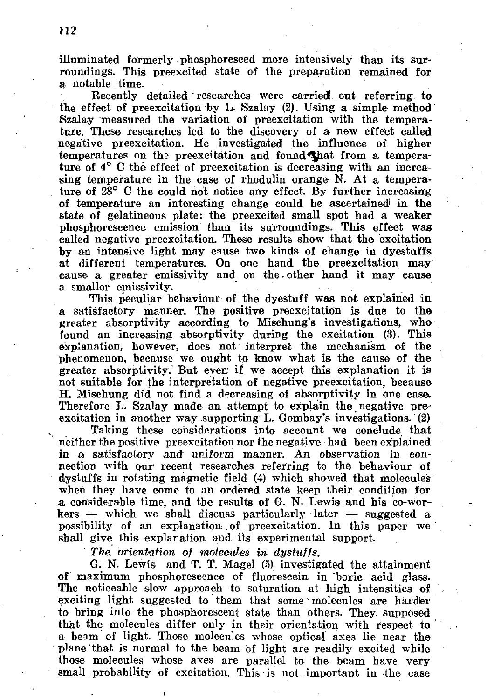illuminated formerly phosphoresced more intensively than its surroundings. This preexcited state of the preparation remained for a notable time.

Recently detailed' researches were carried! out referring to the effect of preexcitation by L. Szalay (2). Using a simple method Szalay measured the variation of preexcitation with the temperature. These researches led to the discovery of a new effect called negative preexcitation. He investigated the influence of higher temperatures on the preexcitation and found^hat from a temperature of 4° C the effect of preexcitation is decreasing with an increasing temperature in the case of rhodulin orange N. At a temperature of 28° C the could not notice any effect. By further increasing of temperature an interesting change could be ascertained in the state of gelatineous plate: the preexcited small spot had a weaker phosphorescence emission than its surroundings. This effect was called negative preexcitation. These results show that the excitation by an intensive light may cause two kinds of change in dyestuffs at different temperatures. On one hand the preexcitation may cause a greater emissivity and on the - other hand it may cause a smaller emissivity.

This peculiar behaviour of the dyestuff was not explained in a satisfactory manner. The positive preexcitation is due to the greater absorptivity according to Mischung's investigations, who found an increasing absorptivity during the excitation (3). This explanation, however, does not interpret the mechanism of the phenomenon, because we ought to know what is the cause of the greater absorptivity. But even' if we accept this explanation it is not suitable for the interpretation of negative preexcitation, because H. Mischung did not find a decreasing of absorptivity in one case. Therefore L. Szalay made an attempt to explain the negative preexcitation in another way supporting L. Gombay's investigations. (2)

Taking these considerations into account we conclude that neither the positive preexcitation nor the negative had been explained in a satisfactory and uniform manner. An observation in connection with our recent researches referring to the behaviour of drestuffs in rotating magnetic field (4) which showed that molecules when they have come to an ordered state keep their condition for a considerable time, and the results of G. N. Lewis and his co-workers — which we shall discuss particularly later  $-$  suggested a possibility of an explanation of preexcitation. In this paper we shall give this explanation and its experimental support.

*' The. orientation of molecules in dystuffs.* 

G. N. Lewis and T. T. Magel (5) investigated the attainment of maximum phosphorescence of fluorescein in "boric acid glass. The noticeable slow approach to saturation at high intensities of exciting light suggested to them that some molecules are harder to bring into the phosphorescent state than others. They supposed that the molecules differ only in their orientation with respect to a beam of light. Those molecules whose optical axes lie near the plane that is normal to the beam of light are readily excited while those molecules whose axes are parallel to the beam have very small probability of excitation. This is not important in the case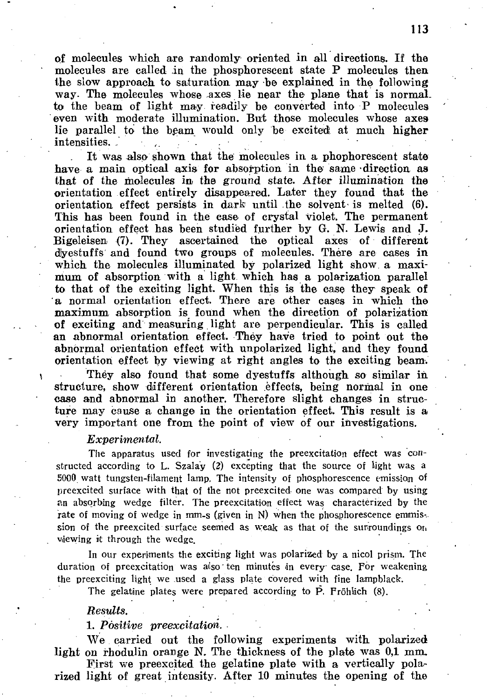of molecules which are randomly oriented in all directions. If the molecules are called in the phosphorescent state P molecules then the slow approach to saturation may be explained in the following way. The molecules whose axes lie near the plane that is normal. to the beam of light may readily be converted into P molecules even with moderate illumination. But those molecules whose axes lie parallel to the beam would only be excited at much higher intensities.

It was also shown that the molecules in a phophorescent state have a main optical axis for absorption in the same direction as that of the molecules in the ground state. After illumination the orientation effect entirely disappeared. Later they found that the orientation effect persists in dark until the solvent is melted (6). This has been found in the case of crystal violet. The permanent orientation effect has been studied further by G. N. Lewis and J. Bigeleisen (7). They ascertained the optical axes of different dyestuffs and found two groups of molecules. There are cases in which the molecules illuminated by polarized light show a maximum of absorption with a light which has a polarization parallel to that of the exciting light. When this is the case they speak of a normal orientation effect. There are other cases in which the maximum absorption is found when the direction of polarization of exciting and measuring light are perpendicular. This is called an abnormal orientation effect. They have tried to point out the abnormal orientation effect with unpolarized light, and they found orientation effect by viewing at right angles to the exciting beam.

They also found that some dyestuffs although so similar in structure, show different orientation effects, being normal in one case and abnormal in another. Therefore slight changes in structure may cause a change in the orientation effect. This result is a very important one from the point of view of our investigations.

#### *Experimental.*

The apparatus used for investigating the preexcitation effect was constructed according to L. Szalay (2) excepting that the source of light was a 5000 watt tungsten-filament lamp. The intensity of phosphorescence emission of preexcited surface with that of the not preexcited one was compared by using an absorbing wedge filter. The preexcitation effect was characterized by the rate of moving of wedge in mm-s (given in N) when the phosphorescence emmission of the preexcited surface seemed as weak as that of the surroundings  $o_{\text{th}}$ viewing it through the wedge.

In our experiments the exciting light was polarized by a nicol prism. The duration of preexcitation was also' ten minutes in every case. For weakening the preexciting light we used a glass plate covered with fine lampblack.

The gelatine plates were prepared according to  $\tilde{P}$ . Fröhlich (8).

## *Results. . •*

*1. Positive preexcitationi.* 

We carried out the following experiments with polarized light on rhodulin orange N. The thickness of the plate was 0,1 mm.

First we preexcited the gelatine plate with a vertically polarized light of great intensity. After 10 minutes the opening of the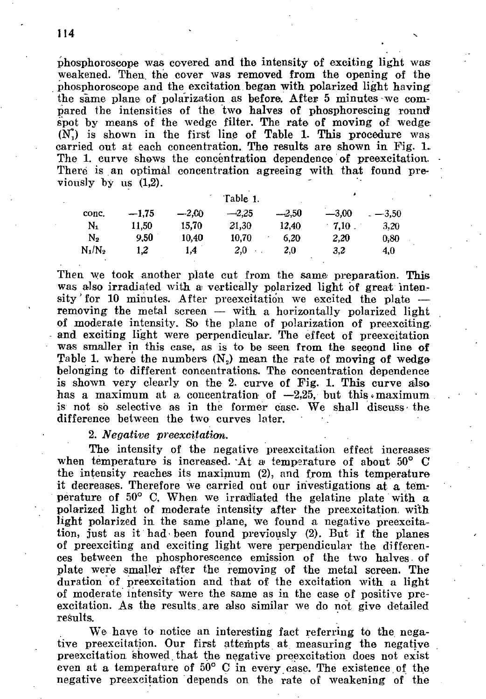phosphoroscope was covered and the intensity of exciting light was weakened. Then, the cover was removed from the opening of the phosphoroscope and the excitation began with polarized light having the same plane of polarization as before. After 5 minutes we compared the intensities of the two halves of phosphorescing round spot by means of the wedge filter. The rate of moving of wedge  $(N<sub>1</sub>)$  is shown in the first line of Table 1. This procedure was carried out at each concentration. The results are shown in Fig. The 1. curve shows the concentration dependence of preexcitation. There is an optimal concentration agreeing with that found previously by us (1,2).

|                | Table 1. |         |         |         |         |                |
|----------------|----------|---------|---------|---------|---------|----------------|
| conc.          | $-1,75$  | $-2.00$ | $-2.25$ | $-2.50$ | $-3.00$ | $_{-}$ $-3.50$ |
| N1             | 11.50    | 15.70   | 21,30   | 12,40   | 7.10    | 3,20           |
| N <sub>2</sub> | 9.50     | 10,40   | 10.70   | 6.20    | 2.20    | 0.80           |
| $N_1/N_2$      | 1,2      | 1.4     | 2,0     | 2.0     | 3.2     | 4.0            |

Then we took another plate cut from the same preparation. This was also irradiated with a vertically polarized light of great intensity' for 10 minutes. After preexcitation we excited the plate removing the metal screen — with a horizontally polarized light of moderate intensity. So the plane of polarization of preexciting and exciting light were perpendicular. The effect of preexcitation was smaller in this case, as is to be seen from the second line of Table 1. where the numbers  $(N_2)$  mean the rate of moving of wedge belonging to different concentrations. The concentration dependence is shown very clearly on the 2. curve of Fig. 1. This curve also has a maximum at a concentration of  $-2.25$ , but this maximum is not so selective as in the former case. We shall discuss the difference between the two curves later.

## 2. *Negative preexcitation.*

The intensity of the negative preexcitation effect increases when temperature is increased. At a temperature of about  $50^{\circ}$  C the intensity reaches its maximum (2), and from this temperature it decreases. Therefore we carried out our investigations at a temperature of 50° C. When we irradiated the gelatine plate with a polarized light of moderate intensity after the preexcitation, with light polarized in the same plane, we found a negative preexcitation, just as it had been found previously (2). But if the planes of preexciting and exciting light were perpendicular the differences between the phosphorescence emission of the two halves of plate were smaller after the removing of the metal screen. The duration of preexcitation and that of the excitation with a light of moderate intensity were the same as in the case of positive preexcitation. As the results. are also similar we do not give detailed results.

We have to notice an interesting fact referring to the negative preexcitation. Our first attempts at measuring the negative preexcitation showed that the negative preexcitation does not exist even at a temperature of  $50^{\circ}$  C in every case. The existence of the negative preexcitation depends on the rate of weakening of the

114 **N**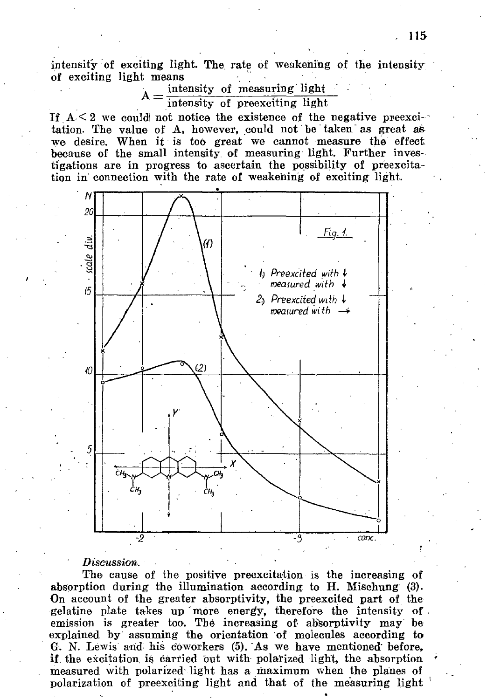intensity of exciting light. The rate of weakening of the intensity of exciting light means

> intensity of measuring light — intensity of preexciting light

If  $A \leq 2$  we could not notice the existence of the negative preexcitation. The value of A, however, could not be taken as great as we desire. When it is too great we cannot measure the effect because of the small intensity of measuring light. Further investigations are in progress to ascertain the possibility of preexcita tion in connection with the rate of weakening of exciting light.



### $Discussion$ .

The cause of the positive preexcitation **is** the increasing of absorption during the illumination according to H. Mischung (3). On account of the greater absorptivity, the preexcited part of the gelatine plate takes up more energy, therefore the intensity of. emission is greater too. The increasing of absorptivity may be explained by assuming the orientation of molecules according to G. N. Lewis aridl his coworkers (5). "As we have mentioned' before, if. the excitation, is carried out with polarized light, the absorption measured with polarized light has a maximum when the planes of polarization of preexciting light and that of the measuring light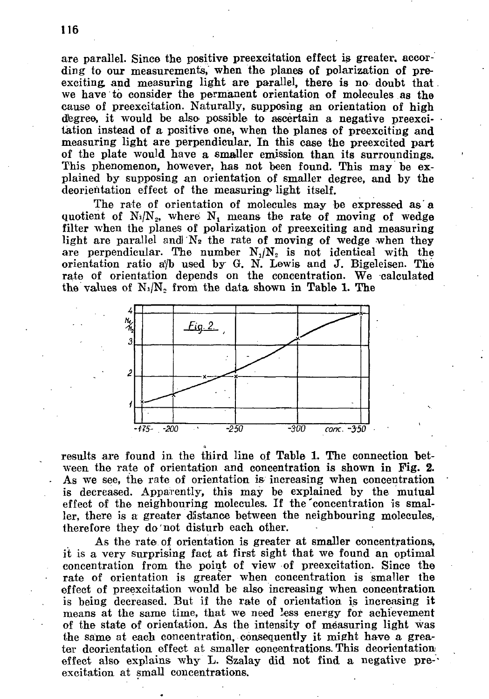are parallel. Since the positive preexcitation effect is greater, according to our measurements, when the planes of polarization of preexciting and measuring light are parallel, there is no doubt that we have to consider the permanent orientation of molecules as the cause of preexcitation. Naturally, supposing an orientation of high degree, it would be also possible to ascertain a negative preexcitation instead of a positive one, when the planes of preexciting and measuring light are perpendicular. In this case the preexcited part of the plate would have a smaller emission than its surroundings. This phenomenon, however, has not been found. This may be explained by supposing an orientation of smaller degree, and by the deorientation effect of the measuring» light itself.

The rate of orientation of molecules may be expressed as'a quotient of  $N_1/N_2$ , where  $N_1$  means the rate of moving of wedge filter when the planes of polarization of preexciting and measuring light are parallel and N<sub>2</sub> the rate of moving of wedge when they are perpendicular. The number  $N_j/N_2$  is not identical with the orientation ratio a'/b used by **G. N.** Lewis and **J.** Bigeleisen. The rate of orientation depends on the concentration. We calculated the values of  $N_1/N_2$  from the data shown in Table 1. The



results are found in the third line of Table 1. The connection between the rate of orientation and concentration is shown in Fig. 2. As we see, the rate of orientation is increasing when concentration is decreased. Apparently, this may be explained by the mutual effect of the neighbouring molecules. If the'concentration is smaller, there is a greater distance between the neighbouring molecules, therefore they do not disturb each other.

As the rate of orientation is greater at smaller concentrations, it is a very surprising fact at first sight that we found an optimal concentration from the. point of view of preexcitation. Since the rate of orientation is greater when concentration is smaller the effect of preexcitation would be also increasing when concentration is being decreased. But if the rate of orientation is increasing it means at the same time, that we need less energy for achievement of the state of orientation. As the intensity of measuring light was the same at each concentration, consequently it might have a greater deorientation effect at smaller concentrations. This deorientation effect also explains why **L .** Szalay did not find a negative pre-' excitation at small concentrations.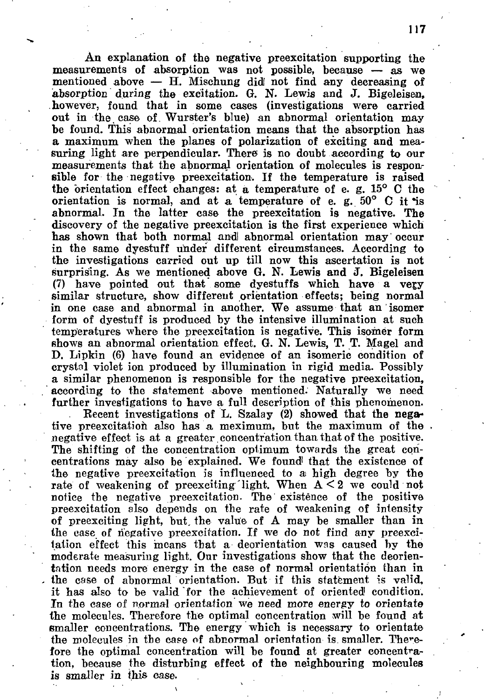An explanation of the negative preexcitation supporting the measurements of absorption was not possible, because — as we mentioned above  $-$  H. Mischung did not find any decreasing of absorption during the excitation. G. N. Lewis and J. Bigeleisen, however, found that in some cases (investigations were carried out in the. case of Wurster's blue) an abnormal orientation may be found. This abnormal orientation means that the absorption has a maximum when the planes of polarization of exciting and measuring light are perpendicular. There is no doubt according to our measurements that the abnormal orientation of molecules is responsible for the negative preexcitation. If the temperature is raised the orientation effect changes: at a temperature of e. g.  $15^{\circ}$  C the orientation is normal, and at a temperature of e. g. 50° C it \*is abnormal. In the latter case the preexcitation is negative. The discovery of the negative preexcitation is the first experience which has shown that both normal andl abnormal orientation may occur in the same dyestuff under different circumstances. According to the investigations carried out up till now this ascertation is not surprising. As we mentioned above G. N. Lewis and J. Bigeleisen (7) have pointed out that some dyestuffs which have a very similar structure, show different orientation effects; being normal in one case and abnormal in another. We assume that an isomer form of dyestuff is produced by the intensive illumination at such temperatures where the preexcitation is negative. This isomer form shows an abnormal orientation effect. G. N. Lewis, T. T. Magel and D. Lipkin (6) have found an evidence of an isomeric condition of crystal violet ion produced by illumination in rigid media. Possibly a similar phenomenon is responsible for the negative preexcitation, according to the statement above mentioned. Naturally we need further investigations to have a full description of this phenomenon.

Recent investigations of L. Szalay (2) showed that the negative preexcitation also has a meximum, but the maximum of the. negative effect is at a greater concentration than that of the positive. The shifting of the concentration optimum towards the great concentrations may also be explained. We found! that the existence of the negative preexcitation is influenced to ai high degree by the rate of weakening of preexciting light. When  $A \leq 2$  we could not notice the negative preexcitation. The existence of the positive preexcitation also depends on the rate of weakening of intensity of preexciting light, but. the value of A may be smaller than in the case of negative preexcitation. If we do not find any preexcitation effect this means that a deorientation was caused by the moderate measuring light. Our investigations show that the deorientation needs more energy in the case of normal orientation than in the case of abnormal orientation. But if this statement is valid, it has also to be valid for the achievement of oriented condition. In the case of normal orientation we need more energy to orientate the molecules. Therefore the optimal concentration will be found at smaller concentrations. The energy which is necessary to orientate the molecules in the case of abnormal orientation is smaller. Therefore the optimal concentration will be found at greater concentration, because the disturbing effect of the neighbouring molecules is smaller in this case.